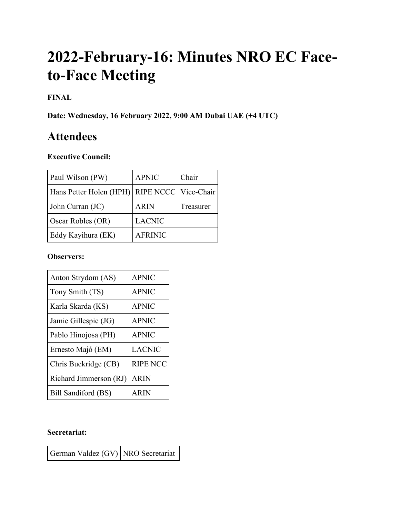# **2022-February-16: Minutes NRO EC Faceto-Face Meeting**

# **FINAL**

**Date: Wednesday, 16 February 2022, 9:00 AM Dubai UAE (+4 UTC)**

# **Attendees**

# **Executive Council:**

| Paul Wilson (PW)        | <b>APNIC</b>           | Chair     |
|-------------------------|------------------------|-----------|
| Hans Petter Holen (HPH) | RIPE NCCC   Vice-Chair |           |
| John Curran (JC)        | <b>ARIN</b>            | Treasurer |
| Oscar Robles (OR)       | <b>LACNIC</b>          |           |
| Eddy Kayihura (EK)      | <b>AFRINIC</b>         |           |

#### **Observers:**

| Anton Strydom (AS)     | <b>APNIC</b>    |
|------------------------|-----------------|
| Tony Smith (TS)        | <b>APNIC</b>    |
| Karla Skarda (KS)      | <b>APNIC</b>    |
| Jamie Gillespie (JG)   | <b>APNIC</b>    |
| Pablo Hinojosa (PH)    | <b>APNIC</b>    |
| Ernesto Majó (EM)      | <b>LACNIC</b>   |
| Chris Buckridge (CB)   | <b>RIPE NCC</b> |
| Richard Jimmerson (RJ) | <b>ARIN</b>     |
| Bill Sandiford (BS)    | <b>ARIN</b>     |

# **Secretariat:**

German Valdez (GV) NRO Secretariat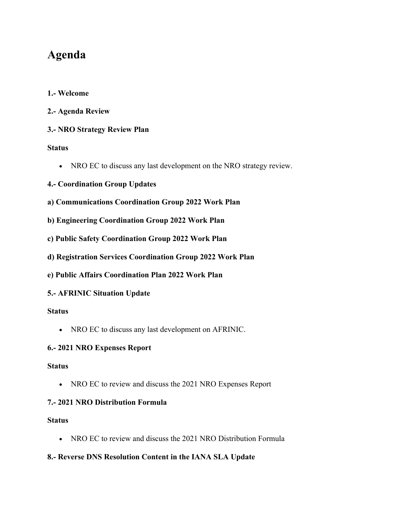# **Agenda**

- **1.- Welcome**
- **2.- Agenda Review**

### **3.- NRO Strategy Review Plan**

#### **Status**

• NRO EC to discuss any last development on the NRO strategy review.

## **4.- Coordination Group Updates**

- **a) Communications Coordination Group 2022 Work Plan**
- **b) Engineering Coordination Group 2022 Work Plan**
- **c) Public Safety Coordination Group 2022 Work Plan**
- **d) Registration Services Coordination Group 2022 Work Plan**
- **e) Public Affairs Coordination Plan 2022 Work Plan**

### **5.- AFRINIC Situation Update**

#### **Status**

• NRO EC to discuss any last development on AFRINIC.

#### **6.- 2021 NRO Expenses Report**

#### **Status**

• NRO EC to review and discuss the 2021 NRO Expenses Report

#### **7.- 2021 NRO Distribution Formula**

#### **Status**

• NRO EC to review and discuss the 2021 NRO Distribution Formula

### **8.- Reverse DNS Resolution Content in the IANA SLA Update**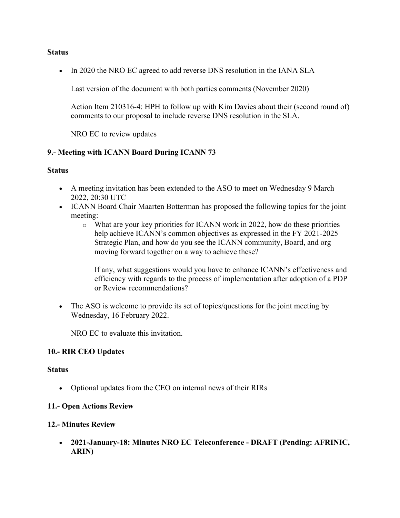#### **Status**

• In 2020 the NRO EC agreed to add reverse DNS resolution in the IANA SLA

Last version of the document with both parties comments (November 2020)

Action Item 210316-4: HPH to follow up with Kim Davies about their (second round of) comments to our proposal to include reverse DNS resolution in the SLA.

NRO EC to review updates

#### **9.- Meeting with ICANN Board During ICANN 73**

#### **Status**

- A meeting invitation has been extended to the ASO to meet on Wednesday 9 March 2022, 20:30 UTC
- ICANN Board Chair Maarten Botterman has proposed the following topics for the joint meeting:
	- o What are your key priorities for ICANN work in 2022, how do these priorities help achieve ICANN's common objectives as expressed in the FY 2021-2025 Strategic Plan, and how do you see the ICANN community, Board, and org moving forward together on a way to achieve these?

If any, what suggestions would you have to enhance ICANN's effectiveness and efficiency with regards to the process of implementation after adoption of a PDP or Review recommendations?

• The ASO is welcome to provide its set of topics/questions for the joint meeting by Wednesday, 16 February 2022.

NRO EC to evaluate this invitation.

#### **10.- RIR CEO Updates**

#### **Status**

• Optional updates from the CEO on internal news of their RIRs

#### **11.- Open Actions Review**

#### **12.- Minutes Review**

• **2021-January-18: Minutes NRO EC Teleconference - DRAFT (Pending: AFRINIC, ARIN)**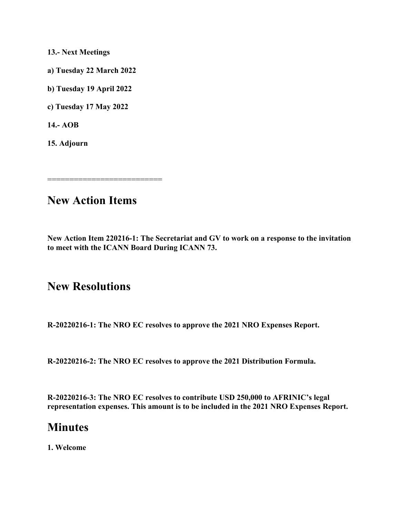**13.- Next Meetings**

**a) Tuesday 22 March 2022**

**b) Tuesday 19 April 2022**

**c) Tuesday 17 May 2022**

**14.- AOB**

**15. Adjourn**

==============================

# **New Action Items**

**New Action Item 220216-1: The Secretariat and GV to work on a response to the invitation to meet with the ICANN Board During ICANN 73.**

# **New Resolutions**

**R-20220216-1: The NRO EC resolves to approve the 2021 NRO Expenses Report.**

**R-20220216-2: The NRO EC resolves to approve the 2021 Distribution Formula.**

**R-20220216-3: The NRO EC resolves to contribute USD 250,000 to AFRINIC's legal representation expenses. This amount is to be included in the 2021 NRO Expenses Report.**

# **Minutes**

**1. Welcome**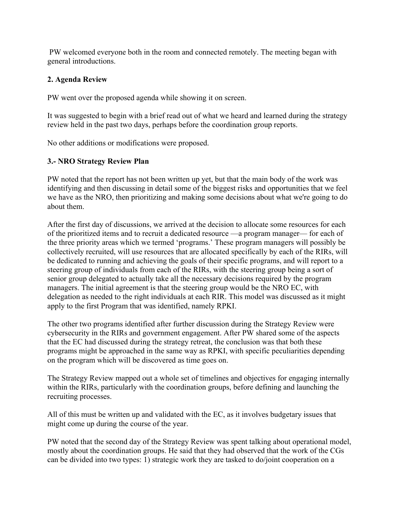PW welcomed everyone both in the room and connected remotely. The meeting began with general introductions.

# **2. Agenda Review**

PW went over the proposed agenda while showing it on screen.

It was suggested to begin with a brief read out of what we heard and learned during the strategy review held in the past two days, perhaps before the coordination group reports.

No other additions or modifications were proposed.

# **3.- NRO Strategy Review Plan**

PW noted that the report has not been written up yet, but that the main body of the work was identifying and then discussing in detail some of the biggest risks and opportunities that we feel we have as the NRO, then prioritizing and making some decisions about what we're going to do about them.

After the first day of discussions, we arrived at the decision to allocate some resources for each of the prioritized items and to recruit a dedicated resource —a program manager— for each of the three priority areas which we termed 'programs.' These program managers will possibly be collectively recruited, will use resources that are allocated specifically by each of the RIRs, will be dedicated to running and achieving the goals of their specific programs, and will report to a steering group of individuals from each of the RIRs, with the steering group being a sort of senior group delegated to actually take all the necessary decisions required by the program managers. The initial agreement is that the steering group would be the NRO EC, with delegation as needed to the right individuals at each RIR. This model was discussed as it might apply to the first Program that was identified, namely RPKI.

The other two programs identified after further discussion during the Strategy Review were cybersecurity in the RIRs and government engagement. After PW shared some of the aspects that the EC had discussed during the strategy retreat, the conclusion was that both these programs might be approached in the same way as RPKI, with specific peculiarities depending on the program which will be discovered as time goes on.

The Strategy Review mapped out a whole set of timelines and objectives for engaging internally within the RIRs, particularly with the coordination groups, before defining and launching the recruiting processes.

All of this must be written up and validated with the EC, as it involves budgetary issues that might come up during the course of the year.

PW noted that the second day of the Strategy Review was spent talking about operational model, mostly about the coordination groups. He said that they had observed that the work of the CGs can be divided into two types: 1) strategic work they are tasked to do/joint cooperation on a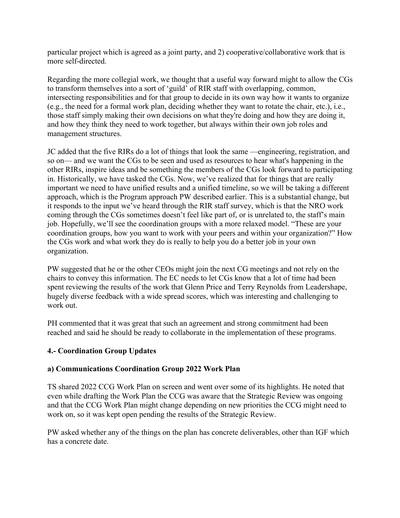particular project which is agreed as a joint party, and 2) cooperative/collaborative work that is more self-directed.

Regarding the more collegial work, we thought that a useful way forward might to allow the CGs to transform themselves into a sort of 'guild' of RIR staff with overlapping, common, intersecting responsibilities and for that group to decide in its own way how it wants to organize (e.g., the need for a formal work plan, deciding whether they want to rotate the chair, etc.), i.e., those staff simply making their own decisions on what they're doing and how they are doing it, and how they think they need to work together, but always within their own job roles and management structures.

JC added that the five RIRs do a lot of things that look the same —engineering, registration, and so on— and we want the CGs to be seen and used as resources to hear what's happening in the other RIRs, inspire ideas and be something the members of the CGs look forward to participating in. Historically, we have tasked the CGs. Now, we've realized that for things that are really important we need to have unified results and a unified timeline, so we will be taking a different approach, which is the Program approach PW described earlier. This is a substantial change, but it responds to the input we've heard through the RIR staff survey, which is that the NRO work coming through the CGs sometimes doesn't feel like part of, or is unrelated to, the staff's main job. Hopefully, we'll see the coordination groups with a more relaxed model. "These are your coordination groups, how you want to work with your peers and within your organization?" How the CGs work and what work they do is really to help you do a better job in your own organization.

PW suggested that he or the other CEOs might join the next CG meetings and not rely on the chairs to convey this information. The EC needs to let CGs know that a lot of time had been spent reviewing the results of the work that Glenn Price and Terry Reynolds from Leadershape, hugely diverse feedback with a wide spread scores, which was interesting and challenging to work out.

PH commented that it was great that such an agreement and strong commitment had been reached and said he should be ready to collaborate in the implementation of these programs.

# **4.- Coordination Group Updates**

### **a) Communications Coordination Group 2022 Work Plan**

TS shared 2022 CCG Work Plan on screen and went over some of its highlights. He noted that even while drafting the Work Plan the CCG was aware that the Strategic Review was ongoing and that the CCG Work Plan might change depending on new priorities the CCG might need to work on, so it was kept open pending the results of the Strategic Review.

PW asked whether any of the things on the plan has concrete deliverables, other than IGF which has a concrete date.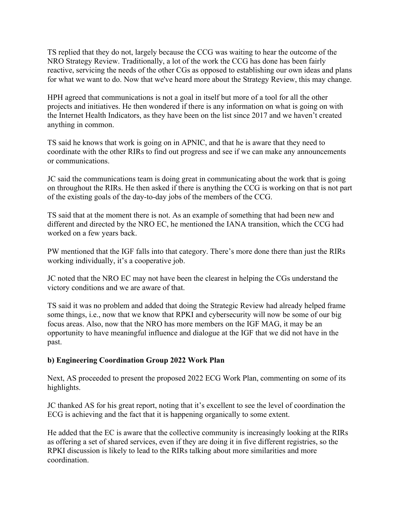TS replied that they do not, largely because the CCG was waiting to hear the outcome of the NRO Strategy Review. Traditionally, a lot of the work the CCG has done has been fairly reactive, servicing the needs of the other CGs as opposed to establishing our own ideas and plans for what we want to do. Now that we've heard more about the Strategy Review, this may change.

HPH agreed that communications is not a goal in itself but more of a tool for all the other projects and initiatives. He then wondered if there is any information on what is going on with the Internet Health Indicators, as they have been on the list since 2017 and we haven't created anything in common.

TS said he knows that work is going on in APNIC, and that he is aware that they need to coordinate with the other RIRs to find out progress and see if we can make any announcements or communications.

JC said the communications team is doing great in communicating about the work that is going on throughout the RIRs. He then asked if there is anything the CCG is working on that is not part of the existing goals of the day-to-day jobs of the members of the CCG.

TS said that at the moment there is not. As an example of something that had been new and different and directed by the NRO EC, he mentioned the IANA transition, which the CCG had worked on a few years back.

PW mentioned that the IGF falls into that category. There's more done there than just the RIRs working individually, it's a cooperative job.

JC noted that the NRO EC may not have been the clearest in helping the CGs understand the victory conditions and we are aware of that.

TS said it was no problem and added that doing the Strategic Review had already helped frame some things, i.e., now that we know that RPKI and cybersecurity will now be some of our big focus areas. Also, now that the NRO has more members on the IGF MAG, it may be an opportunity to have meaningful influence and dialogue at the IGF that we did not have in the past.

### **b) Engineering Coordination Group 2022 Work Plan**

Next, AS proceeded to present the proposed 2022 ECG Work Plan, commenting on some of its highlights.

JC thanked AS for his great report, noting that it's excellent to see the level of coordination the ECG is achieving and the fact that it is happening organically to some extent.

He added that the EC is aware that the collective community is increasingly looking at the RIRs as offering a set of shared services, even if they are doing it in five different registries, so the RPKI discussion is likely to lead to the RIRs talking about more similarities and more coordination.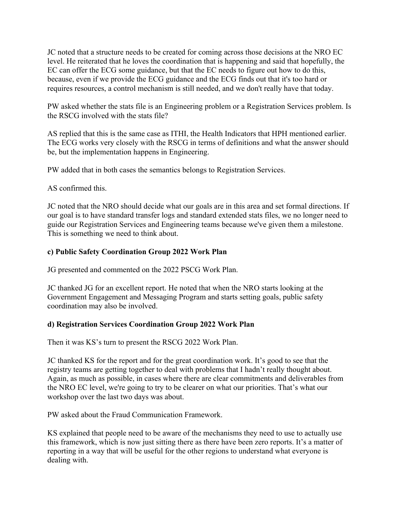JC noted that a structure needs to be created for coming across those decisions at the NRO EC level. He reiterated that he loves the coordination that is happening and said that hopefully, the EC can offer the ECG some guidance, but that the EC needs to figure out how to do this, because, even if we provide the ECG guidance and the ECG finds out that it's too hard or requires resources, a control mechanism is still needed, and we don't really have that today.

PW asked whether the stats file is an Engineering problem or a Registration Services problem. Is the RSCG involved with the stats file?

AS replied that this is the same case as ITHI, the Health Indicators that HPH mentioned earlier. The ECG works very closely with the RSCG in terms of definitions and what the answer should be, but the implementation happens in Engineering.

PW added that in both cases the semantics belongs to Registration Services.

#### AS confirmed this.

JC noted that the NRO should decide what our goals are in this area and set formal directions. If our goal is to have standard transfer logs and standard extended stats files, we no longer need to guide our Registration Services and Engineering teams because we've given them a milestone. This is something we need to think about.

### **c) Public Safety Coordination Group 2022 Work Plan**

JG presented and commented on the 2022 PSCG Work Plan.

JC thanked JG for an excellent report. He noted that when the NRO starts looking at the Government Engagement and Messaging Program and starts setting goals, public safety coordination may also be involved.

### **d) Registration Services Coordination Group 2022 Work Plan**

Then it was KS's turn to present the RSCG 2022 Work Plan.

JC thanked KS for the report and for the great coordination work. It's good to see that the registry teams are getting together to deal with problems that I hadn't really thought about. Again, as much as possible, in cases where there are clear commitments and deliverables from the NRO EC level, we're going to try to be clearer on what our priorities. That's what our workshop over the last two days was about.

PW asked about the Fraud Communication Framework.

KS explained that people need to be aware of the mechanisms they need to use to actually use this framework, which is now just sitting there as there have been zero reports. It's a matter of reporting in a way that will be useful for the other regions to understand what everyone is dealing with.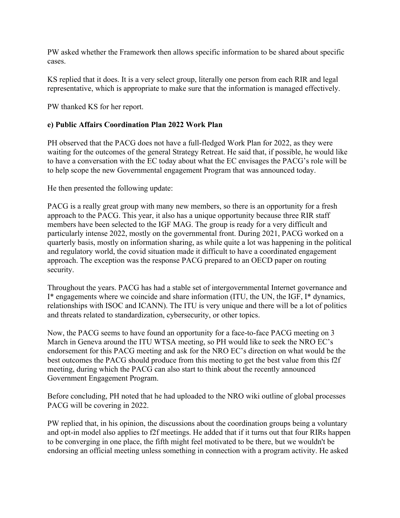PW asked whether the Framework then allows specific information to be shared about specific cases.

KS replied that it does. It is a very select group, literally one person from each RIR and legal representative, which is appropriate to make sure that the information is managed effectively.

PW thanked KS for her report.

#### **e) Public Affairs Coordination Plan 2022 Work Plan**

PH observed that the PACG does not have a full-fledged Work Plan for 2022, as they were waiting for the outcomes of the general Strategy Retreat. He said that, if possible, he would like to have a conversation with the EC today about what the EC envisages the PACG's role will be to help scope the new Governmental engagement Program that was announced today.

He then presented the following update:

PACG is a really great group with many new members, so there is an opportunity for a fresh approach to the PACG. This year, it also has a unique opportunity because three RIR staff members have been selected to the IGF MAG. The group is ready for a very difficult and particularly intense 2022, mostly on the governmental front. During 2021, PACG worked on a quarterly basis, mostly on information sharing, as while quite a lot was happening in the political and regulatory world, the covid situation made it difficult to have a coordinated engagement approach. The exception was the response PACG prepared to an OECD paper on routing security.

Throughout the years. PACG has had a stable set of intergovernmental Internet governance and I\* engagements where we coincide and share information (ITU, the UN, the IGF, I\* dynamics, relationships with ISOC and ICANN). The ITU is very unique and there will be a lot of politics and threats related to standardization, cybersecurity, or other topics.

Now, the PACG seems to have found an opportunity for a face-to-face PACG meeting on 3 March in Geneva around the ITU WTSA meeting, so PH would like to seek the NRO EC's endorsement for this PACG meeting and ask for the NRO EC's direction on what would be the best outcomes the PACG should produce from this meeting to get the best value from this f2f meeting, during which the PACG can also start to think about the recently announced Government Engagement Program.

Before concluding, PH noted that he had uploaded to the NRO wiki outline of global processes PACG will be covering in 2022.

PW replied that, in his opinion, the discussions about the coordination groups being a voluntary and opt-in model also applies to f2f meetings. He added that if it turns out that four RIRs happen to be converging in one place, the fifth might feel motivated to be there, but we wouldn't be endorsing an official meeting unless something in connection with a program activity. He asked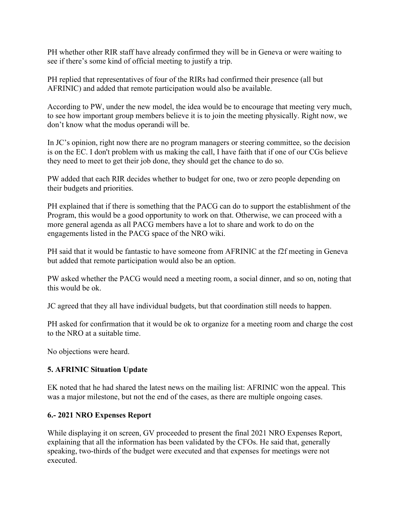PH whether other RIR staff have already confirmed they will be in Geneva or were waiting to see if there's some kind of official meeting to justify a trip.

PH replied that representatives of four of the RIRs had confirmed their presence (all but AFRINIC) and added that remote participation would also be available.

According to PW, under the new model, the idea would be to encourage that meeting very much, to see how important group members believe it is to join the meeting physically. Right now, we don't know what the modus operandi will be.

In JC's opinion, right now there are no program managers or steering committee, so the decision is on the EC. I don't problem with us making the call, I have faith that if one of our CGs believe they need to meet to get their job done, they should get the chance to do so.

PW added that each RIR decides whether to budget for one, two or zero people depending on their budgets and priorities.

PH explained that if there is something that the PACG can do to support the establishment of the Program, this would be a good opportunity to work on that. Otherwise, we can proceed with a more general agenda as all PACG members have a lot to share and work to do on the engagements listed in the PACG space of the NRO wiki.

PH said that it would be fantastic to have someone from AFRINIC at the f2f meeting in Geneva but added that remote participation would also be an option.

PW asked whether the PACG would need a meeting room, a social dinner, and so on, noting that this would be ok.

JC agreed that they all have individual budgets, but that coordination still needs to happen.

PH asked for confirmation that it would be ok to organize for a meeting room and charge the cost to the NRO at a suitable time.

No objections were heard.

### **5. AFRINIC Situation Update**

EK noted that he had shared the latest news on the mailing list: AFRINIC won the appeal. This was a major milestone, but not the end of the cases, as there are multiple ongoing cases.

### **6.- 2021 NRO Expenses Report**

While displaying it on screen, GV proceeded to present the final 2021 NRO Expenses Report, explaining that all the information has been validated by the CFOs. He said that, generally speaking, two-thirds of the budget were executed and that expenses for meetings were not executed.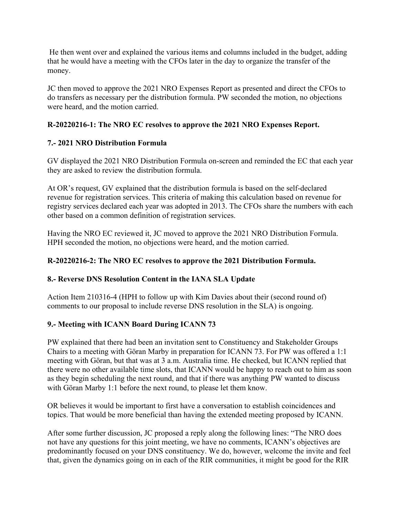He then went over and explained the various items and columns included in the budget, adding that he would have a meeting with the CFOs later in the day to organize the transfer of the money.

JC then moved to approve the 2021 NRO Expenses Report as presented and direct the CFOs to do transfers as necessary per the distribution formula. PW seconded the motion, no objections were heard, and the motion carried.

# **R-20220216-1: The NRO EC resolves to approve the 2021 NRO Expenses Report.**

# **7.- 2021 NRO Distribution Formula**

GV displayed the 2021 NRO Distribution Formula on-screen and reminded the EC that each year they are asked to review the distribution formula.

At OR's request, GV explained that the distribution formula is based on the self-declared revenue for registration services. This criteria of making this calculation based on revenue for registry services declared each year was adopted in 2013. The CFOs share the numbers with each other based on a common definition of registration services.

Having the NRO EC reviewed it, JC moved to approve the 2021 NRO Distribution Formula. HPH seconded the motion, no objections were heard, and the motion carried.

# **R-20220216-2: The NRO EC resolves to approve the 2021 Distribution Formula.**

### **8.- Reverse DNS Resolution Content in the IANA SLA Update**

Action Item 210316-4 (HPH to follow up with Kim Davies about their (second round of) comments to our proposal to include reverse DNS resolution in the SLA) is ongoing.

# **9.- Meeting with ICANN Board During ICANN 73**

PW explained that there had been an invitation sent to Constituency and Stakeholder Groups Chairs to a meeting with Göran Marby in preparation for ICANN 73. For PW was offered a 1:1 meeting with Göran, but that was at 3 a.m. Australia time. He checked, but ICANN replied that there were no other available time slots, that ICANN would be happy to reach out to him as soon as they begin scheduling the next round, and that if there was anything PW wanted to discuss with Göran Marby 1:1 before the next round, to please let them know.

OR believes it would be important to first have a conversation to establish coincidences and topics. That would be more beneficial than having the extended meeting proposed by ICANN.

After some further discussion, JC proposed a reply along the following lines: "The NRO does not have any questions for this joint meeting, we have no comments, ICANN's objectives are predominantly focused on your DNS constituency. We do, however, welcome the invite and feel that, given the dynamics going on in each of the RIR communities, it might be good for the RIR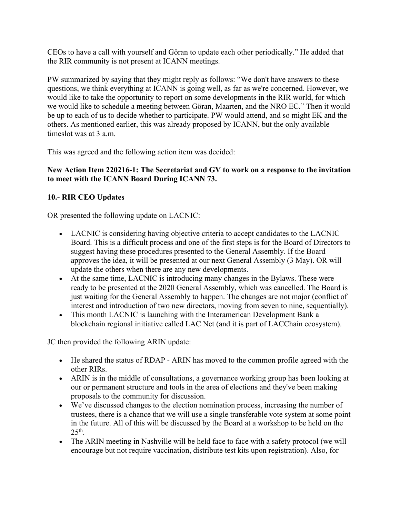CEOs to have a call with yourself and Göran to update each other periodically." He added that the RIR community is not present at ICANN meetings.

PW summarized by saying that they might reply as follows: "We don't have answers to these questions, we think everything at ICANN is going well, as far as we're concerned. However, we would like to take the opportunity to report on some developments in the RIR world, for which we would like to schedule a meeting between Göran, Maarten, and the NRO EC." Then it would be up to each of us to decide whether to participate. PW would attend, and so might EK and the others. As mentioned earlier, this was already proposed by ICANN, but the only available timeslot was at 3 a.m.

This was agreed and the following action item was decided:

# **New Action Item 220216-1: The Secretariat and GV to work on a response to the invitation to meet with the ICANN Board During ICANN 73.**

# **10.- RIR CEO Updates**

OR presented the following update on LACNIC:

- LACNIC is considering having objective criteria to accept candidates to the LACNIC Board. This is a difficult process and one of the first steps is for the Board of Directors to suggest having these procedures presented to the General Assembly. If the Board approves the idea, it will be presented at our next General Assembly (3 May). OR will update the others when there are any new developments.
- At the same time, LACNIC is introducing many changes in the Bylaws. These were ready to be presented at the 2020 General Assembly, which was cancelled. The Board is just waiting for the General Assembly to happen. The changes are not major (conflict of interest and introduction of two new directors, moving from seven to nine, sequentially).
- This month LACNIC is launching with the Interamerican Development Bank a blockchain regional initiative called LAC Net (and it is part of LACChain ecosystem).

JC then provided the following ARIN update:

- He shared the status of RDAP ARIN has moved to the common profile agreed with the other RIRs.
- ARIN is in the middle of consultations, a governance working group has been looking at our or permanent structure and tools in the area of elections and they've been making proposals to the community for discussion.
- We've discussed changes to the election nomination process, increasing the number of trustees, there is a chance that we will use a single transferable vote system at some point in the future. All of this will be discussed by the Board at a workshop to be held on the 25th.
- The ARIN meeting in Nashville will be held face to face with a safety protocol (we will encourage but not require vaccination, distribute test kits upon registration). Also, for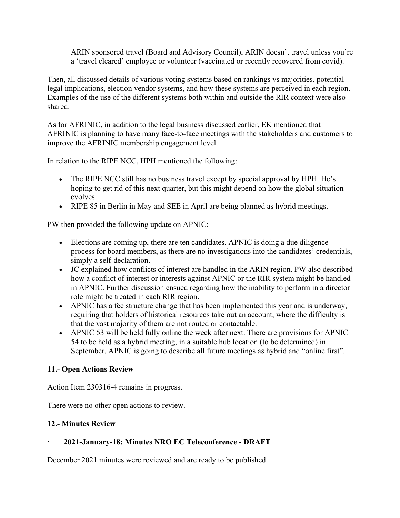ARIN sponsored travel (Board and Advisory Council), ARIN doesn't travel unless you're a 'travel cleared' employee or volunteer (vaccinated or recently recovered from covid).

Then, all discussed details of various voting systems based on rankings vs majorities, potential legal implications, election vendor systems, and how these systems are perceived in each region. Examples of the use of the different systems both within and outside the RIR context were also shared.

As for AFRINIC, in addition to the legal business discussed earlier, EK mentioned that AFRINIC is planning to have many face-to-face meetings with the stakeholders and customers to improve the AFRINIC membership engagement level.

In relation to the RIPE NCC, HPH mentioned the following:

- The RIPE NCC still has no business travel except by special approval by HPH. He's hoping to get rid of this next quarter, but this might depend on how the global situation evolves.
- RIPE 85 in Berlin in May and SEE in April are being planned as hybrid meetings.

PW then provided the following update on APNIC:

- Elections are coming up, there are ten candidates. APNIC is doing a due diligence process for board members, as there are no investigations into the candidates' credentials, simply a self-declaration.
- JC explained how conflicts of interest are handled in the ARIN region. PW also described how a conflict of interest or interests against APNIC or the RIR system might be handled in APNIC. Further discussion ensued regarding how the inability to perform in a director role might be treated in each RIR region.
- APNIC has a fee structure change that has been implemented this year and is underway, requiring that holders of historical resources take out an account, where the difficulty is that the vast majority of them are not routed or contactable.
- APNIC 53 will be held fully online the week after next. There are provisions for APNIC 54 to be held as a hybrid meeting, in a suitable hub location (to be determined) in September. APNIC is going to describe all future meetings as hybrid and "online first".

### **11.- Open Actions Review**

Action Item 230316-4 remains in progress.

There were no other open actions to review.

#### **12.- Minutes Review**

### **· 2021-January-18: Minutes NRO EC Teleconference - DRAFT**

December 2021 minutes were reviewed and are ready to be published.